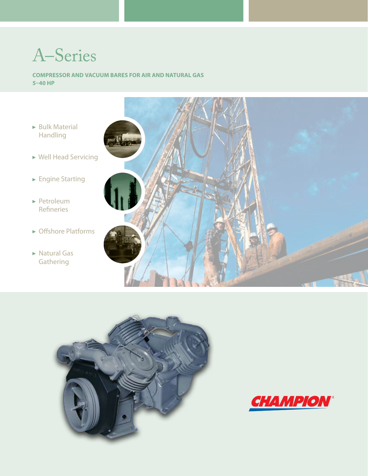# A–Series

**Compressor and Vacuum Bares for Air and Natural GAS 5–40 HP**

- $\triangleright$  Bulk Material Handling
- Well Head Servicing
- ► Engine Starting
- Petroleum Refineries
- ► Offshore Platforms
- ▶ Natural Gas **Gathering**





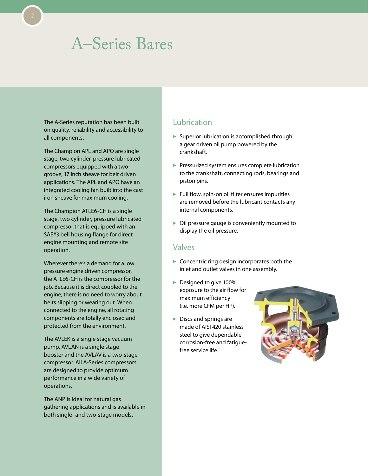The A-Series reputation has been built on quality, reliability and accessibility to all components.

The Champion APL and APO are single stage, two cylinder, pressure lubricated compressors equipped with a twogroove, 17 inch sheave for belt driven applications. The APL and APO have an integrated cooling fan built into the cast iron sheave for maximum cooling.

The Champion ATLE6-CH is a single stage, two cylinder, pressure lubricated compressor that is equipped with an SAE#3 bell housing flange for direct engine mounting and remote site operation.

Wherever there's a demand for a low pressure engine driven compressor, the ATLE6-CH is the compressor for the job. Because it is direct coupled to the engine, there is no need to worry about belts slipping or wearing out. When connected to the engine, all rotating components are totally enclosed and protected from the environment.

The AVLEK is a single stage vacuum pump, AVLAN is a single stage booster and the AVLAV is a two-stage compressor. All A-Series compressors are designed to provide optimum performance in a wide variety of operations.

The ANP is ideal for natural gas gathering applications and is available in both single- and two-stage models.

### Lubrication

- $\blacktriangleright$  Superior lubrication is accomplished through a gear driven oil pump powered by the crankshaft.
- Pressurized system ensures complete lubrication to the crankshaft, connecting rods, bearings and piston pins.
- $\blacktriangleright$  Full flow, spin-on oil filter ensures impurities are removed before the lubricant contacts any internal components.
- $\triangleright$  Oil pressure gauge is conveniently mounted to display the oil pressure.

#### Valves

- $\triangleright$  Concentric ring design incorporates both the inlet and outlet valves in one assembly.
- ▶ Designed to give 100% exposure to the air flow for maximum efficiency (i.e. more CFM per HP).
- $\blacktriangleright$  Discs and springs are made of AISI 420 stainless steel to give dependable corrosion-free and fatiguefree service life.

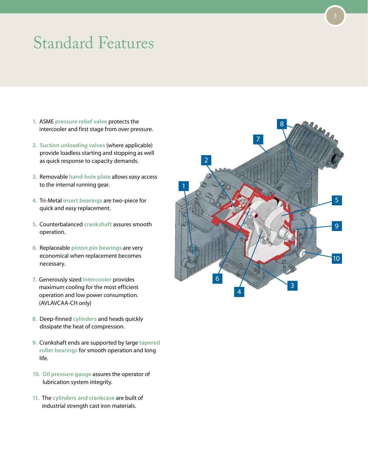## Standard Features

- **1.** ASME **pressure relief valve** protects the intercooler and first stage from over pressure.
- **2. Suction unloading valves** (where applicable) provide loadless starting and stopping as well as quick response to capacity demands.
- **3.** Removable **hand-hole plate** allows easy access to the internal running gear.
- **4.** Tri-Metal **insert bearings** are two-piece for quick and easy replacement.
- **5.** Counterbalanced **crankshaft** assures smooth operation.
- **6.** Replaceable **piston pin bearings** are very economical when replacement becomes necessary.
- **7.** Generously sized **intercooler** provides maximum cooling for the most efficient operation and low power consumption. (AVLAVCAA-CH only)
- **8.** Deep-finned **cylinders** and heads quickly dissipate the heat of compression.
- **9.** Crankshaft ends are supported by large **tapered roller bearings** for smooth operation and long life.
- **10. Oil pressure gauge** assures the operator of lubrication system integrity.
- **11.** The **cylinders and crankcase** are built of industrial strength cast iron materials.

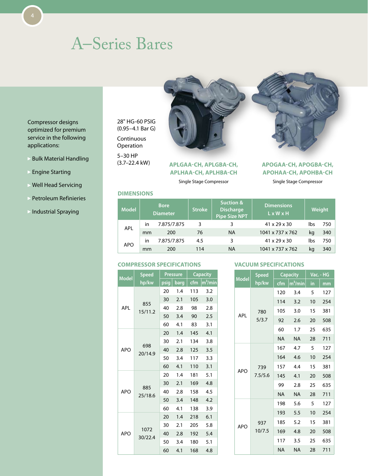Compressor designs optimized for premium service in the following applications:

- Bulk Material Handling
- Engine Starting
- Well Head Servicing
- Petroleum Refinieries
- Industrial Spraying

28" HG-60 PSIG (0.95–4.1 Bar G) Continuous Operation 5–30 HP (3.7–22.4 kW)

**APLGAA-CH, APLGBA-CH, APLHAA-CH, APLHBA-CH** 

#### Single Stage Compressor

#### **APOGAA-CH, APOGBA-CH, APOHAA-CH, APOHBA-CH**

Single Stage Compressor

#### **Dimensions**

| <b>Bore</b><br><b>Model</b><br><b>Diameter</b> |             |     |           |                          |     |     |  |  |  | <b>Stroke</b> | <b>Suction &amp;</b><br><b>Discharge</b><br><b>Pipe Size NPT</b> | <b>Dimensions</b><br>$L \times W \times H$ |  | Weight |
|------------------------------------------------|-------------|-----|-----------|--------------------------|-----|-----|--|--|--|---------------|------------------------------------------------------------------|--------------------------------------------|--|--------|
| in                                             | 7.875/7.875 | 3   |           | $41 \times 29 \times 30$ | lbs | 750 |  |  |  |               |                                                                  |                                            |  |        |
| mm                                             | 200         | 76  | <b>NA</b> | 1041 x 737 x 762         | ka  | 340 |  |  |  |               |                                                                  |                                            |  |        |
| in.                                            | 7.875/7.875 | 4.5 | 3         | $41 \times 29 \times 30$ | Ibs | 750 |  |  |  |               |                                                                  |                                            |  |        |
| mm                                             | 200         | 114 | <b>NA</b> | 1041 x 737 x 762         | ka  | 340 |  |  |  |               |                                                                  |                                            |  |        |
|                                                |             |     |           |                          |     |     |  |  |  |               |                                                                  |                                            |  |        |

#### **Compressor Specifications**

|              | <b>Speed</b>   |      | <b>Pressure</b> |     | <b>Capacity</b>       |
|--------------|----------------|------|-----------------|-----|-----------------------|
| <b>Model</b> | hp/kw          | psig | barg            | cfm | $\overline{m}^3/m$ in |
|              |                | 20   | 1.4             | 113 | 3.2                   |
|              |                | 30   | 2.1             | 105 | 3.0                   |
| <b>APL</b>   | 855<br>15/11.2 | 40   | 2.8             | 98  | 2.8                   |
|              |                | 50   | 3.4             | 90  | 2.5                   |
|              |                | 60   | 4.1             | 83  | 3.1                   |
|              |                | 20   | 1.4             | 145 | 4.1                   |
|              |                | 30   | 2.1             | 134 | 3.8                   |
| <b>APO</b>   | 698<br>20/14.9 | 40   | 2.8             | 125 | 3.5                   |
|              |                | 50   | 3.4             | 117 | 3.3                   |
|              |                | 60   | 4.1             | 110 | 3.1                   |
|              |                | 20   | 1.4             | 181 | 5.1                   |
|              |                | 30   | 2.1             | 169 | 4.8                   |
| <b>APO</b>   | 885<br>25/18.6 | 40   | 2.8             | 158 | 4.5                   |
|              |                | 50   | 3.4             | 148 | 4.2                   |
|              |                | 60   | 4.1             | 138 | 3.9                   |
|              |                | 20   | 1.4             | 218 | 6.1                   |
|              | 1072           | 30   | 2.1             | 205 | 5.8                   |
| <b>APO</b>   | 30/22.4        | 40   | 2.8             | 192 | 5.4                   |
|              |                | 50   | 3.4             | 180 | 5.1                   |
|              |                | 60   | 4.1             | 168 | 4.8                   |

#### **Vacuum Specifications**

|              | <b>Speed</b> | <b>Capacity</b> |            |    | Vac. - HG |
|--------------|--------------|-----------------|------------|----|-----------|
| <b>Model</b> | hp/kw        | cfm             | $m^3/m$ in | in | mm        |
|              |              | 120             | 3.4        | 5  | 127       |
|              |              | 114             | 3.2        | 10 | 254       |
| <b>APL</b>   | 780          | 105             | 3.0        | 15 | 381       |
|              | 5/3.7        | 92              | 2.6        | 20 | 508       |
|              |              | 60              | 1.7        | 25 | 635       |
|              |              | <b>NA</b>       | <b>NA</b>  | 28 | 711       |
|              |              | 167             | 4.7        | 5  | 127       |
|              |              | 164             | 4.6        | 10 | 254       |
| <b>APO</b>   | 739          | 157             | 4.4        | 15 | 381       |
|              | 7.5/5.6      | 145             | 4.1        | 20 | 508       |
|              |              | 99              | 2.8        | 25 | 635       |
|              |              | <b>NA</b>       | <b>NA</b>  | 28 | 711       |
|              |              | 198             | 5.6        | 5  | 127       |
|              |              | 193             | 5.5        | 10 | 254       |
| <b>APO</b>   | 937          | 185             | 5.2        | 15 | 381       |
|              | 10/7.5       | 169             | 4.8        | 20 | 508       |
|              |              | 117             | 3.5        | 25 | 635       |
|              |              | <b>NA</b>       | <b>NA</b>  | 28 | 711       |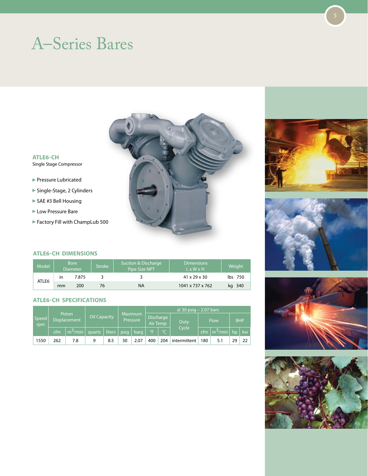

#### **ATLE6-CH** Single Stage Compressor

- **Pressure Lubricated**
- Single-Stage, 2 Cylinders
- ▶ SAE #3 Bell Housing
- **Low Pressure Bare**
- Factory Fill with ChampLub 500

#### **ATLE6-CH Dimensions**

| Model |             | <b>Bore</b><br><b>Diameter</b> | Stroke | Suction & Discharge<br>Pipe Size NPT | <b>Dimensions</b><br>$L \times W \times H$ | Weight  |
|-------|-------------|--------------------------------|--------|--------------------------------------|--------------------------------------------|---------|
|       | 7.875<br>in |                                |        |                                      | $41 \times 29 \times 30$                   | lbs 750 |
| ATLE6 | mm          | 200                            | 76     | ΝA                                   | 1041 x 737 x 762                           | kg 340  |

#### **ATLE6-CH Specifications**

|              |                        |                     |                     |                     |                            |      |                       |         | $@ 30$ psig – 2.07 bars |     |                                     |    |                 |
|--------------|------------------------|---------------------|---------------------|---------------------|----------------------------|------|-----------------------|---------|-------------------------|-----|-------------------------------------|----|-----------------|
| Speed<br>rpm | Piston<br>Displacement |                     | <b>Oil Capacity</b> |                     | <b>Maximum</b><br>Pressure |      | Discharge<br>Air Temp |         | Duty                    |     | <b>Flow</b>                         |    | <b>BHP</b>      |
|              | cfm                    | m <sup>3</sup> /min | quarts              | liters <sup>1</sup> | <i>psia</i>                | barg | $^{\circ}$ F          | $\circ$ | Cycle                   |     | cfm $\lfloor m^3/m$ in $\rfloor$ hp |    | kw.             |
| 1550         | 262                    | 7.8                 | q                   | 8.5                 | 30                         | 2.07 | 400                   | 204     | intermittent            | 180 | 5.1                                 | 29 | 22 <sub>1</sub> |







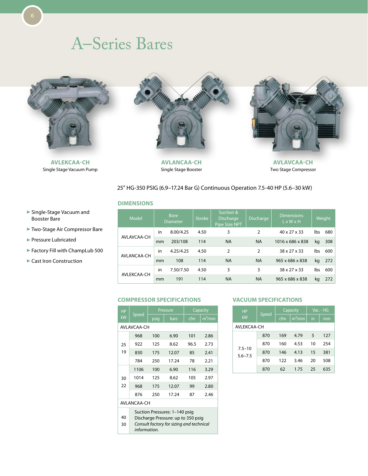

**AVLEKCAA-CH** Single Stage Vacuum Pump



**AVLANCAA-CH** Single Stage Booster



**AVLAVCAA-CH** Two Stage Compressor

#### 25" HG-350 PSIG (6.9–17.24 Bar G) Continuous Operation 7.5-40 HP (5.6–30 kW)

#### **Dimensions**

| Model       | <b>Bore</b><br><b>Diameter</b> |           | <b>Stroke</b> | Suction &<br><b>Discharge</b><br>Pipe Size NPT | <b>Discharge</b> | <b>Dimensions</b><br>$L \times W \times H$ |     | Weight |
|-------------|--------------------------------|-----------|---------------|------------------------------------------------|------------------|--------------------------------------------|-----|--------|
|             | in                             | 8.00/4.25 | 4.50          | 3                                              | 2                | 40 x 27 x 33                               | lbs | 680    |
| AVLAVCAA-CH | mm                             | 203/108   | 114           | <b>NA</b>                                      | <b>NA</b>        | 1016 x 686 x 838                           | kg  | 308    |
| AVLANCAA-CH | in                             | 4.25/4.25 | 4.50          | 2                                              | 2                | 38 x 27 x 33                               | lbs | 600    |
|             | mm                             | 108       | 114           | <b>NA</b>                                      | <b>NA</b>        | 965 x 686 x 838                            | kg  | 272    |
| AVLEKCAA-CH | in                             | 7.50/7.50 | 4.50          | 3                                              | 3                | 38 x 27 x 33                               | lbs | 600    |
|             | mm                             | 191       | 114           | <b>NA</b>                                      | <b>NA</b>        | 965 x 686 x 838                            | kg  | 272    |

#### **Compressor Specifications**

| <b>HP</b> |                                                                                                                                 |      | Pressure |                            | Capacity            |  |  |  |  |
|-----------|---------------------------------------------------------------------------------------------------------------------------------|------|----------|----------------------------|---------------------|--|--|--|--|
| kW        | Speed                                                                                                                           | psig | bars     | $\overline{\mathsf{c}}$ fm | m <sup>3</sup> /min |  |  |  |  |
|           | AVLAVCAA-CH                                                                                                                     |      |          |                            |                     |  |  |  |  |
|           | 968                                                                                                                             | 100  | 6.90     | 101                        | 2.86                |  |  |  |  |
| 25        | 922                                                                                                                             | 125  | 8.62     | 96.5                       | 2.73                |  |  |  |  |
| 19        | 830                                                                                                                             | 175  | 12.07    | 85                         | 2.41                |  |  |  |  |
|           | 784                                                                                                                             | 250  | 17.24    | 78                         | 2.21                |  |  |  |  |
|           | 1106                                                                                                                            | 100  | 6.90     | 116                        | 3.29                |  |  |  |  |
| 30        | 1014                                                                                                                            | 125  | 8.62     | 105                        | 2.97                |  |  |  |  |
| 22        | 968                                                                                                                             | 175  | 12.07    | 99                         | 2.80                |  |  |  |  |
|           | 876                                                                                                                             | 250  | 17.24    | 87                         | 2.46                |  |  |  |  |
|           | AVI ANCAA-CH                                                                                                                    |      |          |                            |                     |  |  |  |  |
| 40<br>30  | Suction Pressures: 1-140 psig<br>Discharge Pressure: up to 350 psig<br>Consult factory for sizing and technical<br>information. |      |          |                            |                     |  |  |  |  |

#### **Vacuum Specifications**

| <b>HP</b>                 |       |     | Capacity             | Vac. - HG |     |  |
|---------------------------|-------|-----|----------------------|-----------|-----|--|
| kW                        | Speed | cfm | $m^3/\overline{min}$ | in.       | mm  |  |
| AVI FKCAA-CH              |       |     |                      |           |     |  |
|                           | 870   | 169 | 4.79                 | 5         | 127 |  |
|                           | 870   | 160 | 4.53                 | 10        | 254 |  |
| $7.5 - 10$<br>$5.6 - 7.5$ | 870   | 146 | 4.13                 | 15        | 381 |  |
|                           | 870   | 122 | 3.46                 | 20        | 508 |  |
|                           | 870   | 62  | 1.75                 | 25        | 635 |  |

- Single-Stage Vacuum and Booster Bare
- Two-Stage Air Compressor Bare
- Pressure Lubricated
- Factory Fill with ChampLub 500
- Cast Iron Construction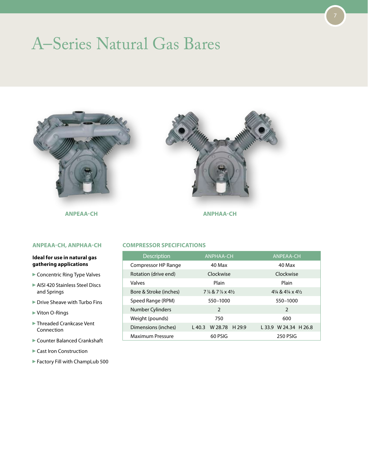### A–Series Natural Gas Bares



**ANPEAA-CH ANPHAA-CH**

#### **ANPEAA-CH, ANPHAA-CH**

#### **Ideal for use in natural gas gathering applications**

- Concentric Ring Type Valves
- AISI 420 Stainless Steel Discs and Springs
- Drive Sheave with Turbo Fins
- Viton O-Rings
- Threaded Crankcase Vent Connection
- Counter Balanced Crankshaft
- ▶ Cast Iron Construction
- Factory Fill with ChampLub 500



7

#### **Compressor Specifications**

| <b>Description</b>     | <b>ANPHAA-CH</b>                                   | <b>ANPEAA-CH</b>                                 |
|------------------------|----------------------------------------------------|--------------------------------------------------|
| Compressor HP Range    | 40 Max                                             | 40 Max                                           |
| Rotation (drive end)   | Clockwise                                          | Clockwise                                        |
| Valves                 | Plain                                              | Plain                                            |
| Bore & Stroke (inches) | $7\frac{7}{8}$ & $7\frac{7}{8}$ x 41/ <sub>2</sub> | $4\frac{1}{4}$ & $4\frac{1}{4}$ x $4\frac{1}{2}$ |
| Speed Range (RPM)      | 550-1000                                           | 550-1000                                         |
| Number Cylinders       | $\overline{2}$                                     | 2                                                |
| Weight (pounds)        | 750                                                | 600                                              |
| Dimensions (inches)    | W 28.78<br>$L$ 40.3<br>H <sub>29.9</sub>           | L 33.9 W 24.34 H 26.8                            |
| Maximum Pressure       | 60 PSIG                                            | <b>250 PSIG</b>                                  |